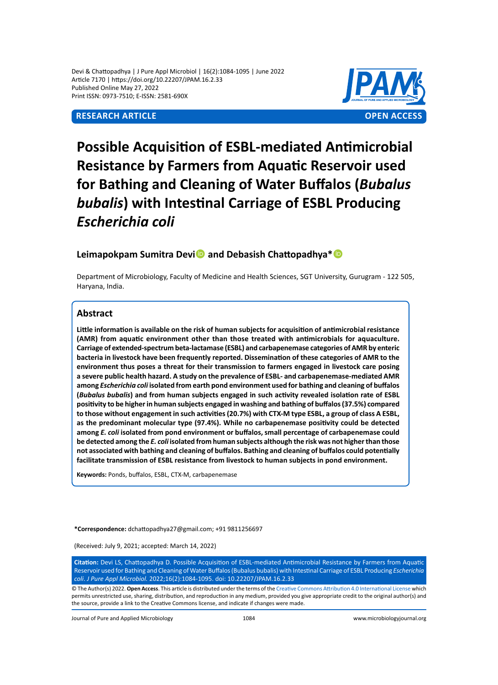Devi & Chattopadhya | J Pure Appl Microbiol | 16(2):1084-1095 | June 2022 Article 7170 | https://doi.org/10.22207/JPAM.16.2.33 Published Online May 27, 2022 Print ISSN: 0973-7510; E-ISSN: 2581-690X



# **Possible Acquisition of ESBL-mediated Antimicrobial Resistance by Farmers from Aquatic Reservoir used for Bathing and Cleaning of Water Buffalos (***Bubalus bubalis***) with Intestinal Carriage of ESBL Producing**  *Escherichia coli*

# Leimapokpam Sumitra Devi<sup>1</sup> and Debasish Chattopadhya<sup>\*</sup>

Department of Microbiology, Faculty of Medicine and Health Sciences, SGT University, Gurugram - 122 505, Haryana, India.

# **Abstract**

**Little information is available on the risk of human subjects for acquisition of antimicrobial resistance (AMR) from aquatic environment other than those treated with antimicrobials for aquaculture. Carriage of extended-spectrum beta-lactamase (ESBL) and carbapenemase categories of AMR by enteric bacteria in livestock have been frequently reported. Dissemination of these categories of AMR to the environment thus poses a threat for their transmission to farmers engaged in livestock care posing a severe public health hazard. A study on the prevalence of ESBL- and carbapenemase-mediated AMR among** *Escherichia coli* **isolated from earth pond environment used for bathing and cleaning of buffalos (***Bubalus bubalis***) and from human subjects engaged in such activity revealed isolation rate of ESBL positivity to be higher in human subjects engaged in washing and bathing of buffalos (37.5%) compared to those without engagement in such activities (20.7%) with CTX-M type ESBL, a group of class A ESBL, as the predominant molecular type (97.4%). While no carbapenemase positivity could be detected among** *E. coli* **isolated from pond environment or buffalos, small percentage of carbapenemase could be detected among the** *E. coli* **isolated from human subjects although the risk was not higher than those not associated with bathing and cleaning of buffalos. Bathing and cleaning of buffalos could potentially facilitate transmission of ESBL resistance from livestock to human subjects in pond environment.**

**Keywords:** Ponds, buffalos, ESBL, CTX-M, carbapenemase

**\*Correspondence:** dchattopadhya27@gmail.com; +91 9811256697

(Received: July 9, 2021; accepted: March 14, 2022)

**Citation:** Devi LS, Chattopadhya D. Possible Acquisition of ESBL-mediated Antimicrobial Resistance by Farmers from Aquatic Reservoir used for Bathing and Cleaning of Water Buffalos (Bubalus bubalis) with Intestinal Carriage of ESBL Producing *Escherichia coli*. *J Pure Appl Microbiol.* 2022;16(2):1084-1095. doi: 10.22207/JPAM.16.2.33

© The Author(s) 2022. **Open Access**. This article is distributed under the terms of the [Creative Commons Attribution 4.0 International License](https://creativecommons.org/licenses/by/4.0/) which permits unrestricted use, sharing, distribution, and reproduction in any medium, provided you give appropriate credit to the original author(s) and the source, provide a link to the Creative Commons license, and indicate if changes were made.

Journal of Pure and Applied Microbiology 1084 www.microbiologyjournal.org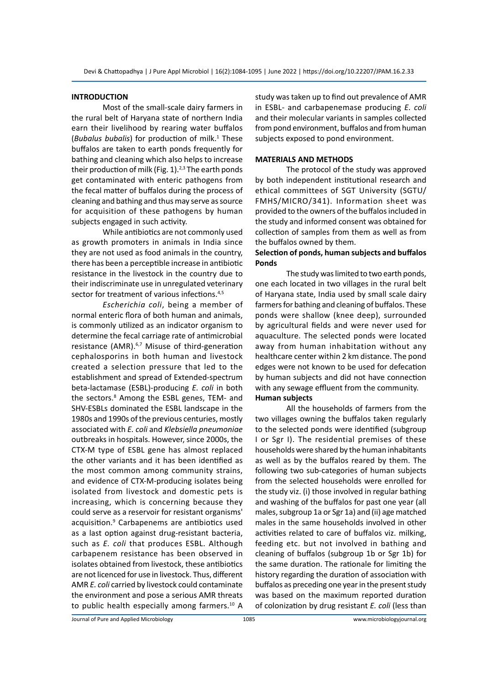#### **INTRODUCTION**

Most of the small-scale dairy farmers in the rural belt of Haryana state of northern India earn their livelihood by rearing water buffalos (Bubalus bubalis) for production of milk.<sup>1</sup> These buffalos are taken to earth ponds frequently for bathing and cleaning which also helps to increase their production of milk (Fig.  $1$ ).<sup>2,3</sup> The earth ponds get contaminated with enteric pathogens from the fecal matter of buffalos during the process of cleaning and bathing and thus may serve as source for acquisition of these pathogens by human subjects engaged in such activity.

While antibiotics are not commonly used as growth promoters in animals in India since they are not used as food animals in the country, there has been a perceptible increase in antibiotic resistance in the livestock in the country due to their indiscriminate use in unregulated veterinary sector for treatment of various infections.<sup>4,5</sup>

*Escherichia coli*, being a member of normal enteric flora of both human and animals, is commonly utilized as an indicator organism to determine the fecal carriage rate of antimicrobial resistance (AMR).<sup>6,7</sup> Misuse of third-generation cephalosporins in both human and livestock created a selection pressure that led to the establishment and spread of Extended-spectrum beta-lactamase (ESBL)-producing *E. coli* in both the sectors.<sup>8</sup> Among the ESBL genes, TEM- and SHV-ESBLs dominated the ESBL landscape in the 1980s and 1990s of the previous centuries, mostly associated with *E. coli* and *Klebsiella pneumoniae* outbreaks in hospitals. However, since 2000s, the CTX-M type of ESBL gene has almost replaced the other variants and it has been identified as the most common among community strains, and evidence of CTX-M-producing isolates being isolated from livestock and domestic pets is increasing, which is concerning because they could serve as a reservoir for resistant organisms' acquisition.9 Carbapenems are antibiotics used as a last option against drug-resistant bacteria, such as *E. coli* that produces ESBL. Although carbapenem resistance has been observed in isolates obtained from livestock, these antibiotics are not licenced for use in livestock. Thus, different AMR *E. coli* carried by livestock could contaminate the environment and pose a serious AMR threats to public health especially among farmers.<sup>10</sup> A

study was taken up to find out prevalence of AMR in ESBL- and carbapenemase producing *E. coli* and their molecular variants in samples collected from pond environment, buffalos and from human subjects exposed to pond environment.

#### **MATERIALS AND METHODS**

The protocol of the study was approved by both independent institutional research and ethical committees of SGT University (SGTU/ FMHS/MICRO/341). Information sheet was provided to the owners of the buffalos included in the study and informed consent was obtained for collection of samples from them as well as from the buffalos owned by them.

#### **Selection of ponds, human subjects and buffalos Ponds**

The study was limited to two earth ponds, one each located in two villages in the rural belt of Haryana state, India used by small scale dairy farmers for bathing and cleaning of buffalos. These ponds were shallow (knee deep), surrounded by agricultural fields and were never used for aquaculture. The selected ponds were located away from human inhabitation without any healthcare center within 2 km distance. The pond edges were not known to be used for defecation by human subjects and did not have connection with any sewage effluent from the community. **Human subjects**

All the households of farmers from the two villages owning the buffalos taken regularly to the selected ponds were identified (subgroup I or Sgr I). The residential premises of these households were shared by the human inhabitants as well as by the buffalos reared by them. The following two sub-categories of human subjects from the selected households were enrolled for the study viz. (i) those involved in regular bathing and washing of the buffalos for past one year (all males, subgroup 1a or Sgr 1a) and (ii) age matched males in the same households involved in other activities related to care of buffalos viz. milking, feeding etc. but not involved in bathing and cleaning of buffalos (subgroup 1b or Sgr 1b) for the same duration. The rationale for limiting the history regarding the duration of association with buffalos as preceding one year in the present study was based on the maximum reported duration of colonization by drug resistant *E. coli* (less than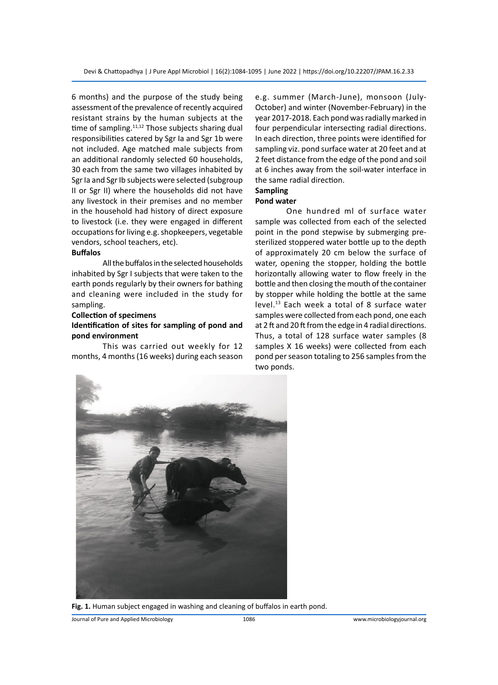6 months) and the purpose of the study being assessment of the prevalence of recently acquired resistant strains by the human subjects at the time of sampling.<sup>11,12</sup> Those subjects sharing dual responsibilities catered by Sgr Ia and Sgr 1b were not included. Age matched male subjects from an additional randomly selected 60 households, 30 each from the same two villages inhabited by Sgr Ia and Sgr Ib subjects were selected (subgroup II or Sgr II) where the households did not have any livestock in their premises and no member in the household had history of direct exposure to livestock (i.e. they were engaged in different occupations for living e.g. shopkeepers, vegetable vendors, school teachers, etc).

#### **Buffalos**

All the buffalos in the selected households inhabited by Sgr I subjects that were taken to the earth ponds regularly by their owners for bathing and cleaning were included in the study for sampling.

#### **Collection of specimens**

#### **Identification of sites for sampling of pond and pond environment**

This was carried out weekly for 12 months, 4 months (16 weeks) during each season e.g. summer (March-June), monsoon (July-October) and winter (November-February) in the year 2017-2018. Each pond was radially marked in four perpendicular intersecting radial directions. In each direction, three points were identified for sampling viz. pond surface water at 20 feet and at 2 feet distance from the edge of the pond and soil at 6 inches away from the soil-water interface in the same radial direction.

# **Sampling**

#### **Pond water**

One hundred ml of surface water sample was collected from each of the selected point in the pond stepwise by submerging presterilized stoppered water bottle up to the depth of approximately 20 cm below the surface of water, opening the stopper, holding the bottle horizontally allowing water to flow freely in the bottle and then closing the mouth of the container by stopper while holding the bottle at the same level.13 Each week a total of 8 surface water samples were collected from each pond, one each at 2 ft and 20 ft from the edge in 4 radial directions. Thus, a total of 128 surface water samples (8 samples X 16 weeks) were collected from each pond per season totaling to 256 samples from the two ponds.



**Fig. 1.** Human subject engaged in washing and cleaning of buffalos in earth pond.

Journal of Pure and Applied Microbiology 1086 www.microbiologyjournal.org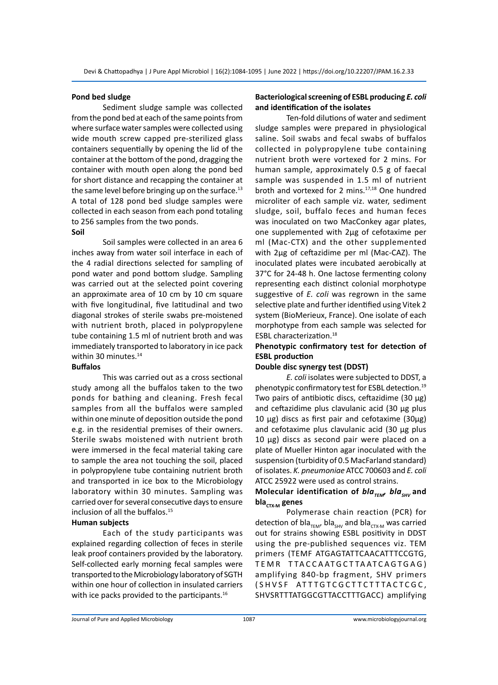#### **Pond bed sludge**

Sediment sludge sample was collected from the pond bed at each of the same points from where surface water samples were collected using wide mouth screw capped pre-sterilized glass containers sequentially by opening the lid of the container at the bottom of the pond, dragging the container with mouth open along the pond bed for short distance and recapping the container at the same level before bringing up on the surface. $^{13}$ A total of 128 pond bed sludge samples were collected in each season from each pond totaling to 256 samples from the two ponds. **Soil**

# Soil samples were collected in an area 6 inches away from water soil interface in each of the 4 radial directions selected for sampling of pond water and pond bottom sludge. Sampling was carried out at the selected point covering an approximate area of 10 cm by 10 cm square with five longitudinal, five latitudinal and two diagonal strokes of sterile swabs pre-moistened with nutrient broth, placed in polypropylene tube containing 1.5 ml of nutrient broth and was immediately transported to laboratory in ice pack within 30 minutes.<sup>14</sup>

#### **Buffalos**

This was carried out as a cross sectional study among all the buffalos taken to the two ponds for bathing and cleaning. Fresh fecal samples from all the buffalos were sampled within one minute of deposition outside the pond e.g. in the residential premises of their owners. Sterile swabs moistened with nutrient broth were immersed in the fecal material taking care to sample the area not touching the soil, placed in polypropylene tube containing nutrient broth and transported in ice box to the Microbiology laboratory within 30 minutes. Sampling was carried over for several consecutive days to ensure inclusion of all the buffalos.<sup>15</sup>

#### **Human subjects**

Each of the study participants was explained regarding collection of feces in sterile leak proof containers provided by the laboratory. Self-collected early morning fecal samples were transported to the Microbiology laboratory of SGTH within one hour of collection in insulated carriers with ice packs provided to the participants.<sup>16</sup>

#### **Bacteriological screening of ESBL producing** *E. coli* **and identification of the isolates**

Ten-fold dilutions of water and sediment sludge samples were prepared in physiological saline. Soil swabs and fecal swabs of buffalos collected in polypropylene tube containing nutrient broth were vortexed for 2 mins. For human sample, approximately 0.5 g of faecal sample was suspended in 1.5 ml of nutrient broth and vortexed for 2 mins.17,18 One hundred microliter of each sample viz. water, sediment sludge, soil, buffalo feces and human feces was inoculated on two MacConkey agar plates, one supplemented with 2μg of cefotaxime per ml (Mac-CTX) and the other supplemented with 2μg of ceftazidime per ml (Mac-CAZ). The inoculated plates were incubated aerobically at 37°C for 24-48 h. One lactose fermenting colony representing each distinct colonial morphotype suggestive of *E. coli* was regrown in the same selective plate and further identified using Vitek 2 system (BioMerieux, France). One isolate of each morphotype from each sample was selected for ESBL characterization.18

#### **Phenotypic confirmatory test for detection of ESBL production**

#### **Double disc synergy test (DDST)**

*E. coli* isolates were subjected to DDST, a phenotypic confirmatory test for ESBL detection.19 Two pairs of antibiotic discs, ceftazidime  $(30 \mu g)$ and ceftazidime plus clavulanic acid (30 µg plus 10  $\mu$ g) discs as first pair and cefotaxime (30 $\mu$ g) and cefotaxime plus clavulanic acid (30 µg plus 10 µg) discs as second pair were placed on a plate of Mueller Hinton agar inoculated with the suspension (turbidity of 0.5 MacFarland standard) of isolates. *K. pneumoniae* ATCC 700603 and *E. coli* ATCC 25922 were used as control strains.

### *Molecular identification of bla<sub>TEM</sub>, bla<sub>SHV</sub> and* **blaCTX-M genes**

Polymerase chain reaction (PCR) for detection of bla<sub>TEM</sub>, bla<sub>SHV</sub> and bla<sub>CTX-M</sub> was carried out for strains showing ESBL positivity in DDST using the pre-published sequences viz. TEM primers (TEMF ATGAGTATTCAACATTTCCGTG, TEMR TTACCAATGCTTAATCAGTGAG) amplifying 840-bp fragment, SHV primers (SHVSF ATTTGTCGCTTCTTTACTCGC, SHVSRTTTATGGCGTTACCTTTGACC) amplifying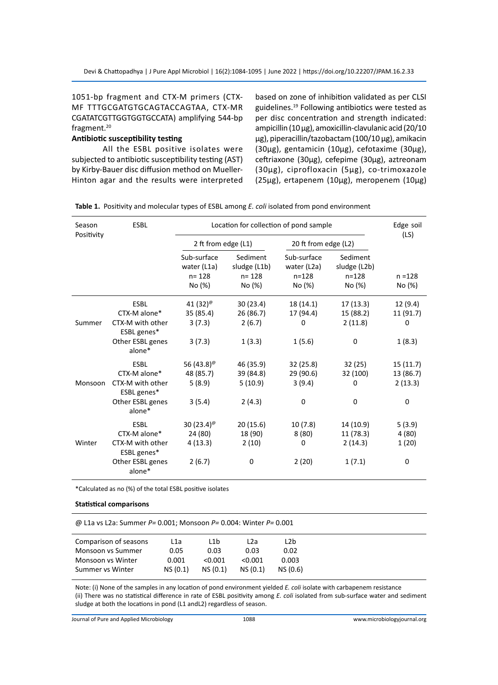1051-bp fragment and CTX-M primers (CTX-MF TTTGCGATGTGCAGTACCAGTAA, CTX-MR CGATATCGTTGGTGGTGCCATA) amplifying 544-bp fragment.<sup>20</sup>

#### **Antibiotic susceptibility testing**

All the ESBL positive isolates were subjected to antibiotic susceptibility testing (AST) by Kirby-Bauer disc diffusion method on Mueller-Hinton agar and the results were interpreted based on zone of inhibition validated as per CLSI guidelines.19 Following antibiotics were tested as per disc concentration and strength indicated: ampicillin (10 µg), amoxicillin-clavulanic acid (20/10 µg), piperacillin/tazobactam (100/10 µg), amikacin (30µg), gentamicin (10µg), cefotaxime (30µg), ceftriaxone (30µg), cefepime (30µg), aztreonam (30µg), ciprofloxacin (5µg), co-trimoxazole (25µg), ertapenem (10µg), meropenem (10µg)

**Table 1.** Positivity and molecular types of ESBL among *E. coli* isolated from pond environment

| Season<br>Positivity | <b>ESBL</b>                                                                                  |                                                          | Location for collection of pond sample      |                                         |                                             | Edge soil<br>(LS)                             |
|----------------------|----------------------------------------------------------------------------------------------|----------------------------------------------------------|---------------------------------------------|-----------------------------------------|---------------------------------------------|-----------------------------------------------|
|                      |                                                                                              | 2 ft from edge (L1)                                      |                                             | 20 ft from edge (L2)                    |                                             |                                               |
|                      |                                                                                              | Sub-surface<br>water (L1a)<br>$n = 128$                  | Sediment<br>sludge (L1b)<br>$n = 128$       | Sub-surface<br>water (L2a)<br>$n = 128$ | Sediment<br>sludge (L2b)<br>$n = 128$       | $n = 128$                                     |
|                      |                                                                                              | No (%)                                                   | No (%)                                      | No (%)                                  | No (%)                                      | No (%)                                        |
| Summer               | <b>ESBL</b><br>CTX-M alone*<br>CTX-M with other                                              | 41 $(32)$ <sup>@</sup><br>35 (85.4)<br>3(7.3)            | 30 (23.4)<br>26 (86.7)<br>2(6.7)            | 18 (14.1)<br>17 (94.4)<br>$\Omega$      | 17(13.3)<br>15 (88.2)<br>2(11.8)            | 12(9.4)<br>11 (91.7)<br>0                     |
|                      | ESBL genes*<br>Other ESBL genes<br>alone*                                                    | 3(7.3)                                                   | 1(3.3)                                      | 1(5.6)                                  | 0                                           | 1(8.3)                                        |
| Monsoon              | <b>ESBL</b><br>CTX-M alone*<br>CTX-M with other<br>ESBL genes*<br>Other ESBL genes<br>alone* | 56 (43.8) <sup>@</sup><br>48 (85.7)<br>5(8.9)<br>3(5.4)  | 46 (35.9)<br>39 (84.8)<br>5(10.9)<br>2(4.3) | 32 (25.8)<br>29 (90.6)<br>3(9.4)<br>0   | 32 (25)<br>32 (100)<br>0<br>$\Omega$        | 15 (11.7)<br>13 (86.7)<br>2(13.3)<br>$\Omega$ |
| Winter               | <b>ESBL</b><br>CTX-M alone*<br>CTX-M with other<br>ESBL genes*<br>Other ESBL genes<br>alone* | 30 $(23.4)$ <sup>@</sup><br>24 (80)<br>4(13.3)<br>2(6.7) | 20(15.6)<br>18 (90)<br>2(10)<br>0           | 10(7.8)<br>8(80)<br>0<br>2(20)          | 14 (10.9)<br>11 (78.3)<br>2(14.3)<br>1(7.1) | 5(3.9)<br>4 (80)<br>1(20)<br>$\Omega$         |

\*Calculated as no (%) of the total ESBL positive isolates

#### **Statistical comparisons**

@ L1a vs L2a: Summer *P=* 0.001; Monsoon *P=* 0.004: Winter *P=* 0.001

| Comparison of seasons    | L1a     | L1b     | L2a     | L2b      |
|--------------------------|---------|---------|---------|----------|
| <b>Monsoon vs Summer</b> | 0.05    | 0.03    | 0.03    | 0.02     |
| Monsoon vs Winter        | 0.001   | < 0.001 | < 0.001 | 0.003    |
| Summer vs Winter         | NS(0.1) | NS(0.1) | NS(0.1) | NS (0.6) |
|                          |         |         |         |          |

Note: (i) None of the samples in any location of pond environment yielded *E. coli* isolate with carbapenem resistance (ii) There was no statistical difference in rate of ESBL positivity among *E. coli* isolated from sub-surface water and sediment sludge at both the locations in pond (L1 andL2) regardless of season.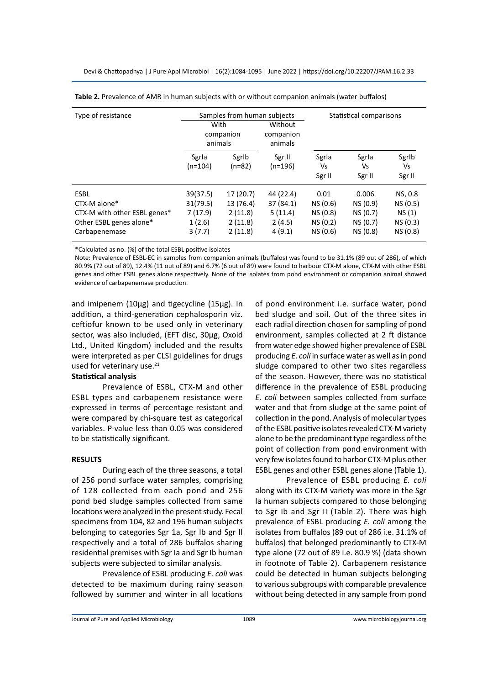| Type of resistance                                                                                      | With<br>animals                                      | Samples from human subjects<br>companion                | Without<br>companion<br>animals                       |                                                      | Statistical comparisons                               |                                                      |
|---------------------------------------------------------------------------------------------------------|------------------------------------------------------|---------------------------------------------------------|-------------------------------------------------------|------------------------------------------------------|-------------------------------------------------------|------------------------------------------------------|
|                                                                                                         | Sgrla<br>$(n=104)$                                   | Sgrlb<br>$(n=82)$                                       | Sgr II<br>$(n=196)$                                   | Sgrla<br>Vs<br>Sgr II                                | Sgrla<br>Vs<br>Sgr II                                 | Sgrlb<br>Vs<br>Sgr II                                |
| <b>ESBL</b><br>CTX-M alone*<br>CTX-M with other ESBL genes*<br>Other ESBL genes alone*<br>Carbapenemase | 39(37.5)<br>31(79.5)<br>7 (17.9)<br>1(2.6)<br>3(7.7) | 17 (20.7)<br>13 (76.4)<br>2(11.8)<br>2(11.8)<br>2(11.8) | 44 (22.4)<br>37 (84.1)<br>5(11.4)<br>2(4.5)<br>4(9.1) | 0.01<br>NS (0.6)<br>NS (0.8)<br>NS (0.2)<br>NS (0.6) | 0.006<br>NS (0.9)<br>NS (0.7)<br>NS (0.7)<br>NS (0.8) | NS, 0.8<br>NS (0.5)<br>NS(1)<br>NS (0.3)<br>NS (0.8) |

**Table 2.** Prevalence of AMR in human subjects with or without companion animals (water buffalos)

\*Calculated as no. (%) of the total ESBL positive isolates

Note: Prevalence of ESBL-EC in samples from companion animals (buffalos) was found to be 31.1% (89 out of 286), of which 80.9% (72 out of 89), 12.4% (11 out of 89) and 6.7% (6 out of 89) were found to harbour CTX-M alone, CTX-M with other ESBL genes and other ESBL genes alone respectively. None of the isolates from pond environment or companion animal showed evidence of carbapenemase production.

and imipenem (10µg) and tigecycline (15µg). In addition, a third-generation cephalosporin viz. ceftiofur known to be used only in veterinary sector, was also included, (EFT disc, 30µg, Oxoid Ltd., United Kingdom) included and the results were interpreted as per CLSI guidelines for drugs used for veterinary use.<sup>21</sup>

#### **Statistical analysis**

Prevalence of ESBL, CTX-M and other ESBL types and carbapenem resistance were expressed in terms of percentage resistant and were compared by chi-square test as categorical variables. P-value less than 0.05 was considered to be statistically significant.

#### **RESULTS**

During each of the three seasons, a total of 256 pond surface water samples, comprising of 128 collected from each pond and 256 pond bed sludge samples collected from same locations were analyzed in the present study. Fecal specimens from 104, 82 and 196 human subjects belonging to categories Sgr 1a, Sgr Ib and Sgr II respectively and a total of 286 buffalos sharing residential premises with Sgr Ia and Sgr Ib human subjects were subjected to similar analysis.

Prevalence of ESBL producing *E. coli* was detected to be maximum during rainy season followed by summer and winter in all locations of pond environment i.e. surface water, pond bed sludge and soil. Out of the three sites in each radial direction chosen for sampling of pond environment, samples collected at 2 ft distance from water edge showed higher prevalence of ESBL producing *E. coli* in surface water as well as in pond sludge compared to other two sites regardless of the season. However, there was no statistical difference in the prevalence of ESBL producing *E. coli* between samples collected from surface water and that from sludge at the same point of collection in the pond. Analysis of molecular types of the ESBL positive isolates revealed CTX-M variety alone to be the predominant type regardless of the point of collection from pond environment with very few isolates found to harbor CTX-M plus other ESBL genes and other ESBL genes alone (Table 1).

Prevalence of ESBL producing *E. coli* along with its CTX-M variety was more in the Sgr Ia human subjects compared to those belonging to Sgr Ib and Sgr II (Table 2). There was high prevalence of ESBL producing *E. coli* among the isolates from buffalos (89 out of 286 i.e. 31.1% of buffalos) that belonged predominantly to CTX-M type alone (72 out of 89 i.e. 80.9 %) (data shown in footnote of Table 2). Carbapenem resistance could be detected in human subjects belonging to various subgroups with comparable prevalence without being detected in any sample from pond

Journal of Pure and Applied Microbiology 1089 www.microbiologyjournal.org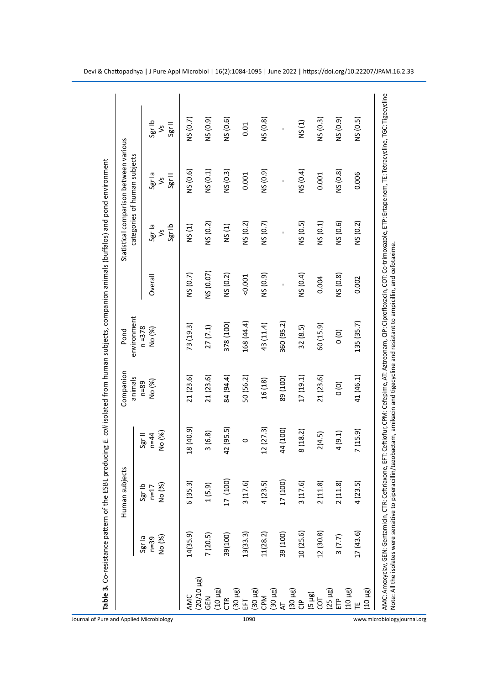|                              | jects<br>Human sub         |                              | Companion<br>animals | environment<br>Pond |           |                                   | Statistical comparison between various<br>categories of human subjects |                             |
|------------------------------|----------------------------|------------------------------|----------------------|---------------------|-----------|-----------------------------------|------------------------------------------------------------------------|-----------------------------|
| No (%)<br>Sgr la<br>$n = 39$ | No (%)<br>Sgr Ib<br>$n=17$ | No (%)<br>$n = 44$<br>Sgr II | No (%)<br>$n = 89$   | $n = 378$<br>No (%) | Overall   | Sgr la<br>Sgr Ib<br>$\frac{2}{3}$ | Sgr la<br>Sgr II<br>$\frac{1}{2}$                                      | Sgr Ib<br>Sgr II<br>$\zeta$ |
| 14(35.9)                     | 6(35.3)                    | 18 (40.9)                    | 21(23.6)             | 73 (19.3)           | NS (0.7)  | NS(1)                             | NS (0.6)                                                               | NS (0.7)                    |
| 7(20.5)                      | 1(5.9)                     | 3(6.8)                       | 21 (23.6)            | 27(7.1)             | NS (0.07) | NS (0.2)                          | NS (0.1)                                                               | NS (0.9)                    |
| 39(100)                      | 17 (100)                   | 42 (95.5)                    | 84 (94.4)            | 378 (100)           | NS (0.2)  | NS(1)                             | NS (0.3)                                                               | NS (0.6)                    |
| 13(33.3)                     | 3(17.6)                    | $\circ$                      | 50 (56.2)            | 168 (44.4)          | 0.001     | NS (0.2)                          | 0.001                                                                  | 0.01                        |
| 11(28.2)                     | 4(23.5)                    | 12(27.3)                     | 16 (18)              | 43 (11.4)           | NS (0.9)  | NS (0.7)                          | NS (0.9)                                                               | NS (0.8)                    |
| 39 (100)                     | 17 (100)                   | 44 (100)                     | 89 (100)             | 360 (95.2)          | ï         | ï                                 | í.                                                                     | ĭ,                          |
| 10(25.6)                     | 3(17.6)                    | 8(18.2)                      | 17(19.1)             | 32 (8.5)            | NS (0.4)  | NS (0.5)                          | NS (0.4)                                                               | NS(1)                       |
| 12(30.8)                     | 2(11.8)                    | 2(4.5)                       | 21 (23.6)            | 60(15.9)            | 0.004     | NS (0.1)                          | 0.001                                                                  | NS(0.3)                     |
| 3(7.7)                       | 2(11.8)                    | 4(9.1)                       | $\overline{0}$       | $\overline{0}$      | NS (0.8)  | NS (0.6)                          | NS (0.8)                                                               | NS (0.9)                    |
| 17(43.6)                     | 4(23.5)                    | 7 (15.9)                     | 41 (46.1)            | 135 (35.7)          | 0.002     | NS(0.2)                           | 0.006                                                                  | NS (0.5)                    |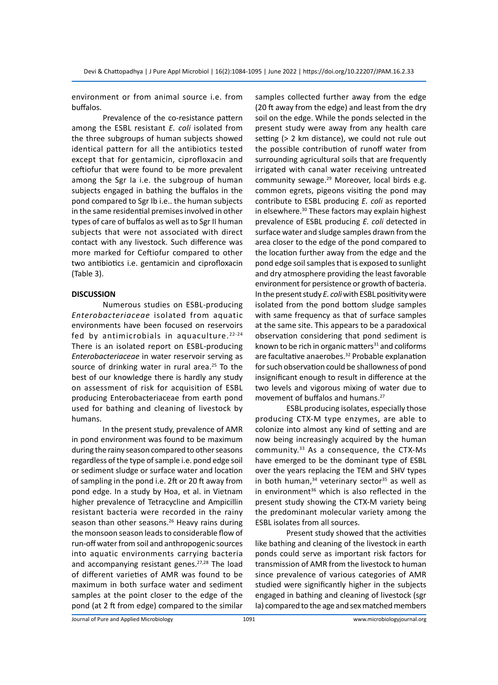environment or from animal source i.e. from buffalos.

Prevalence of the co-resistance pattern among the ESBL resistant *E. coli* isolated from the three subgroups of human subjects showed identical pattern for all the antibiotics tested except that for gentamicin, ciprofloxacin and ceftiofur that were found to be more prevalent among the Sgr Ia i.e. the subgroup of human subjects engaged in bathing the buffalos in the pond compared to Sgr Ib i.e.. the human subjects in the same residential premises involved in other types of care of buffalos as well as to Sgr II human subjects that were not associated with direct contact with any livestock. Such difference was more marked for Ceftiofur compared to other two antibiotics i.e. gentamicin and ciprofloxacin (Table 3).

#### **DISCUSSION**

Numerous studies on ESBL-producing *Enterobacteriaceae* isolated from aquatic environments have been focused on reservoirs fed by antimicrobials in aquaculture.  $2^{2-24}$ There is an isolated report on ESBL-producing *Enterobacteriaceae* in water reservoir serving as source of drinking water in rural area. $25$  To the best of our knowledge there is hardly any study on assessment of risk for acquisition of ESBL producing Enterobacteriaceae from earth pond used for bathing and cleaning of livestock by humans.

In the present study, prevalence of AMR in pond environment was found to be maximum during the rainy season compared to other seasons regardless of the type of sample i.e. pond edge soil or sediment sludge or surface water and location of sampling in the pond i.e. 2ft or 20 ft away from pond edge. In a study by Hoa, et al. in Vietnam higher prevalence of Tetracycline and Ampicillin resistant bacteria were recorded in the rainy season than other seasons. $26$  Heavy rains during the monsoon season leads to considerable flow of run-off water from soil and anthropogenic sources into aquatic environments carrying bacteria and accompanying resistant genes.<sup>27,28</sup> The load of different varieties of AMR was found to be maximum in both surface water and sediment samples at the point closer to the edge of the pond (at 2 ft from edge) compared to the similar samples collected further away from the edge (20 ft away from the edge) and least from the dry soil on the edge. While the ponds selected in the present study were away from any health care setting (> 2 km distance), we could not rule out the possible contribution of runoff water from surrounding agricultural soils that are frequently irrigated with canal water receiving untreated community sewage.<sup>29</sup> Moreover, local birds e.g. common egrets, pigeons visiting the pond may contribute to ESBL producing *E. coli* as reported in elsewhere.30 These factors may explain highest prevalence of ESBL producing *E. coli* detected in surface water and sludge samples drawn from the area closer to the edge of the pond compared to the location further away from the edge and the pond edge soil samples that is exposed to sunlight and dry atmosphere providing the least favorable environment for persistence or growth of bacteria. In the present study *E. coli* with ESBL positivity were isolated from the pond bottom sludge samples with same frequency as that of surface samples at the same site. This appears to be a paradoxical observation considering that pond sediment is known to be rich in organic matters $31$  and coliforms are facultative anaerobes.<sup>32</sup> Probable explanation for such observation could be shallowness of pond insignificant enough to result in difference at the two levels and vigorous mixing of water due to movement of buffalos and humans.27

ESBL producing isolates, especially those producing CTX-M type enzymes, are able to colonize into almost any kind of setting and are now being increasingly acquired by the human community.33 As a consequence, the CTX-Ms have emerged to be the dominant type of ESBL over the years replacing the TEM and SHV types in both human, $34$  veterinary sector $35$  as well as in environment $36$  which is also reflected in the present study showing the CTX-M variety being the predominant molecular variety among the ESBL isolates from all sources.

Present study showed that the activities like bathing and cleaning of the livestock in earth ponds could serve as important risk factors for transmission of AMR from the livestock to human since prevalence of various categories of AMR studied were significantly higher in the subjects engaged in bathing and cleaning of livestock (sgr Ia) compared to the age and sex matched members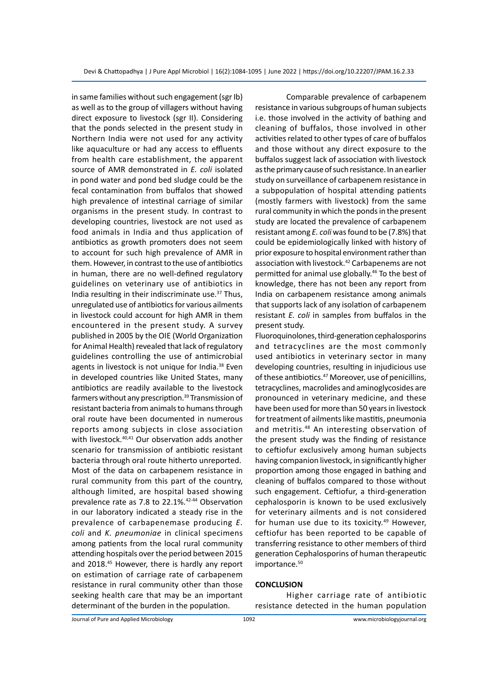in same families without such engagement (sgr Ib) as well as to the group of villagers without having direct exposure to livestock (sgr II). Considering that the ponds selected in the present study in Northern India were not used for any activity like aquaculture or had any access to effluents from health care establishment, the apparent source of AMR demonstrated in *E. coli* isolated in pond water and pond bed sludge could be the fecal contamination from buffalos that showed high prevalence of intestinal carriage of similar organisms in the present study. In contrast to developing countries, livestock are not used as food animals in India and thus application of antibiotics as growth promoters does not seem to account for such high prevalence of AMR in them. However, in contrast to the use of antibiotics in human, there are no well-defined regulatory guidelines on veterinary use of antibiotics in India resulting in their indiscriminate use.37 Thus, unregulated use of antibiotics for various ailments in livestock could account for high AMR in them encountered in the present study. A survey published in 2005 by the OIE (World Organization for Animal Health) revealed that lack of regulatory guidelines controlling the use of antimicrobial agents in livestock is not unique for India.<sup>38</sup> Even in developed countries like United States, many antibiotics are readily available to the livestock farmers without any prescription.<sup>39</sup> Transmission of resistant bacteria from animals to humans through oral route have been documented in numerous reports among subjects in close association with livestock.<sup>40,41</sup> Our observation adds another scenario for transmission of antibiotic resistant bacteria through oral route hitherto unreported. Most of the data on carbapenem resistance in rural community from this part of the country, although limited, are hospital based showing prevalence rate as 7.8 to 22.1%.42-44 Observation in our laboratory indicated a steady rise in the prevalence of carbapenemase producing *E. coli* and *K. pneumoniae* in clinical specimens among patients from the local rural community attending hospitals over the period between 2015 and 2018.45 However, there is hardly any report on estimation of carriage rate of carbapenem resistance in rural community other than those seeking health care that may be an important determinant of the burden in the population.

Comparable prevalence of carbapenem resistance in various subgroups of human subjects i.e. those involved in the activity of bathing and cleaning of buffalos, those involved in other activities related to other types of care of buffalos and those without any direct exposure to the buffalos suggest lack of association with livestock as the primary cause of such resistance. In an earlier study on surveillance of carbapenem resistance in a subpopulation of hospital attending patients (mostly farmers with livestock) from the same rural community in which the ponds in the present study are located the prevalence of carbapenem resistant among *E. coli* was found to be (7.8%) that could be epidemiologically linked with history of prior exposure to hospital environment rather than association with livestock.42 Carbapenems are not permitted for animal use globally.46 To the best of knowledge, there has not been any report from India on carbapenem resistance among animals that supports lack of any isolation of carbapenem resistant *E. coli* in samples from buffalos in the present study.

Fluoroquinolones, third-generation cephalosporins and tetracyclines are the most commonly used antibiotics in veterinary sector in many developing countries, resulting in injudicious use of these antibiotics.<sup>47</sup> Moreover, use of penicillins, tetracyclines, macrolides and aminoglycosides are pronounced in veterinary medicine, and these have been used for more than 50 years in livestock for treatment of ailments like mastitis, pneumonia and metritis.<sup>48</sup> An interesting observation of the present study was the finding of resistance to ceftiofur exclusively among human subjects having companion livestock, in significantly higher proportion among those engaged in bathing and cleaning of buffalos compared to those without such engagement. Ceftiofur, a third-generation cephalosporin is known to be used exclusively for veterinary ailments and is not considered for human use due to its toxicity.<sup>49</sup> However, ceftiofur has been reported to be capable of transferring resistance to other members of third generation Cephalosporins of human therapeutic importance.<sup>50</sup>

#### **CONCLUSION**

Higher carriage rate of antibiotic resistance detected in the human population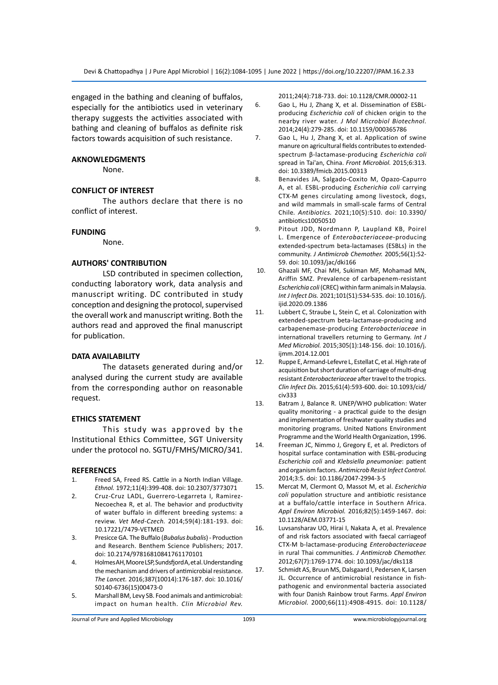engaged in the bathing and cleaning of buffalos, especially for the antibiotics used in veterinary therapy suggests the activities associated with bathing and cleaning of buffalos as definite risk factors towards acquisition of such resistance.

#### **AKNOWLEDGMENTS**

None.

#### **CONFLICT OF INTEREST**

The authors declare that there is no conflict of interest.

#### **FUNDING**

None.

#### **AUTHORS' CONTRIBUTION**

LSD contributed in specimen collection, conducting laboratory work, data analysis and manuscript writing. DC contributed in study conception and designing the protocol, supervised the overall work and manuscript writing. Both the authors read and approved the final manuscript for publication.

#### **DATA AVAILABILITY**

The datasets generated during and/or analysed during the current study are available from the corresponding author on reasonable request.

#### **ETHICS STATEMENT**

This study was approved by the Institutional Ethics Committee, SGT University under the protocol no. SGTU/FMHS/MICRO/341.

#### **REFERENCES**

- 1. Freed SA, Freed RS. Cattle in a North Indian Village. *Ethnol.* 1972;11(4):399-408. doi: 10.2307/3773071
- 2. Cruz-Cruz LADL, Guerrero-Legarreta I, Ramirez-Necoechea R, et al. The behavior and productivity of water buffalo in different breeding systems: a review. *Vet Med-Czech.* 2014;59(4):181-193. doi: 10.17221/7479-VETMED
- 3. Presicce GA. The Buffalo (*Bubalus bubalis*) Production and Research. Benthem Science Publishers; 2017. doi: 10.2174/97816810841761170101
- 4. Holmes AH, Moore LSP, Sundsfjord A, et al. Understanding the mechanism and drivers of antimicrobial resistance. *The Lancet.* 2016;387(10014):176-187. doi: 10.1016/ S0140-6736(15)00473-0
- 5. Marshall BM, Levy SB. Food animals and antimicrobial: impact on human health. *Clin Microbiol Rev.*

2011;24(4):718-733. doi: 10.1128/CMR.00002-11

- 6. Gao L, Hu J, Zhang X, et al. Dissemination of ESBLproducing *Escherichia coli* of chicken origin to the nearby river water. *J Mol Microbiol Biotechnol.* 2014;24(4):279-285. doi: 10.1159/000365786
- 7. Gao L, Hu J, Zhang X, et al. Application of swine manure on agricultural fields contributes to extendedspectrum β-lactamase-producing *Escherichia coli* spread in Tai'an, China. *Front Microbiol.* 2015;6:313. doi: 10.3389/fmicb.2015.00313
- 8. Benavides JA, Salgado-Coxito M, Opazo-Capurro A, et al. ESBL-producing *Escherichia coli* carrying CTX-M genes circulating among livestock, dogs, and wild mammals in small-scale farms of Central Chile*. Antibiotics.* 2021;10(5):510. doi: 10.3390/ antibiotics10050510
- 9. Pitout JDD, Nordmann P, Laupland KB, Poirel L. Emergence of *Enterobacteriaceae*-producing extended-spectrum beta-lactamases (ESBLs) in the community. *J Antimicrob Chemother.* 2005;56(1):52- 59. doi: 10.1093/jac/dki166
- 10. Ghazali MF, Chai MH, Sukiman MF, Mohamad MN, Ariffin SMZ. Prevalence of carbapenem-resistant *Escherichia coli* (CREC) within farm animals in Malaysia. *Int J Infect Dis.* 2021;101(S1):534-535. doi: 10.1016/j. ijid.2020.09.1386
- 11. Lubbert C, Straube L, Stein C, et al. Colonization with extended-spectrum beta-lactamase-producing and carbapenemase-producing *Enterobacteriaceae* in international travellers returning to Germany. *Int J Med Microbiol.* 2015;305(1):148-156. doi: 10.1016/j. ijmm.2014.12.001
- 12. Ruppe E, Armand-Lefevre L, Estellat C, et al. High rate of acquisition but short duration of carriage of multi-drug resistant *Enterobacteriaceae* after travel to the tropics. *Clin Infect Dis.* 2015;61(4):593-600. doi: 10.1093/cid/ civ333
- 13. Batram J, Balance R. UNEP/WHO publication: Water quality monitoring - a practical guide to the design and implementation of freshwater quality studies and monitoring programs. United Nations Environment Programme and the World Health Organization, 1996.
- 14. Freeman JC, Nimmo J, Gregory E, et al. Predictors of hospital surface contamination with ESBL-producing *Escherichia coli* and *Klebsiella pneumoniae*: patient and organism factors. *Antimicrob Resist Infect Control.*  2014;3:5. doi: 10.1186/2047-2994-3-5
- 15. Mercat M, Clermont O, Massot M, et al. *Escherichia coli* population structure and antibiotic resistance at a buffalo/cattle interface in Southern Africa. *Appl Environ Microbiol.* 2016;82(5):1459-1467. doi: 10.1128/AEM.03771-15
- 16. Luvsansharav UO, Hirai I, Nakata A, et al. Prevalence of and risk factors associated with faecal carriageof CTX-M b-lactamase-producing *Enterobacteriaceae* in rural Thai communities. *J Antimicrob Chemother.*  2012;67(7):1769-1774. doi: 10.1093/jac/dks118
- 17. Schmidt AS, Bruun MS, Dalsgaard I, Pedersen K, Larsen JL. Occurrence of antimicrobial resistance in fishpathogenic and environmental bacteria associated with four Danish Rainbow trout Farms. *Appl Environ Microbiol.* 2000;66(11):4908-4915. doi: 10.1128/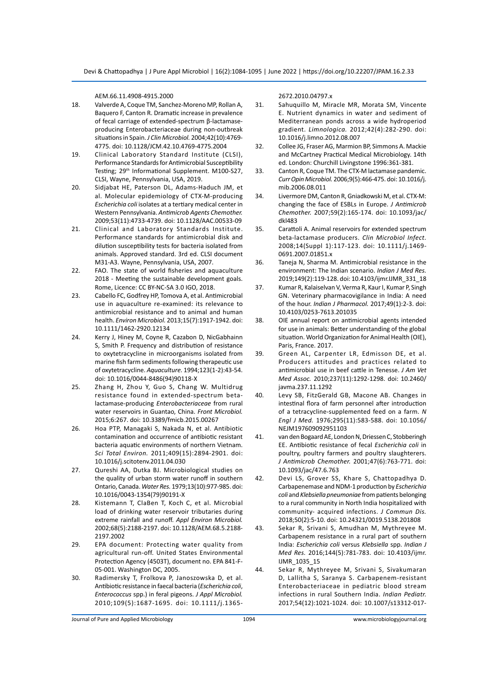AEM.66.11.4908-4915.2000

- 18. Valverde A, Coque TM, Sanchez-Moreno MP, Rollan A, Baquero F, Canton R. Dramatic increase in prevalence of fecal carriage of extended-spectrum β-lactamaseproducing Enterobacteriaceae during non-outbreak situations in Spain. *J Clin Microbiol.* 2004;42(10):4769- 4775. doi: 10.1128/JCM.42.10.4769-4775.2004
- 19. Clinical Laboratory Standard Institute (CLSI), Performance Standards for Antimicrobial Susceptibility Testing; 29<sup>th</sup> Informational Supplement. M100-S27, CLSI, Wayne, Pennsylvania, USA, 2019.
- 20. Sidjabat HE, Paterson DL, Adams-Haduch JM, et al. Molecular epidemiology of CTX-M-producing *Escherichia coli* isolates at a tertiary medical center in Western Pennsylvania. *Antimicrob Agents Chemother.* 2009;53(11):4733-4739. doi: 10.1128/AAC.00533-09
- 21. Clinical and Laboratory Standards Institute. Performance standards for antimicrobial disk and dilution susceptibility tests for bacteria isolated from animals. Approved standard. 3rd ed. CLSI document M31-A3. Wayne, Pennsylvania, USA, 2007.
- 22. FAO. The state of world fisheries and aquaculture 2018 - Meeting the sustainable development goals. Rome, Licence: CC BY-NC-SA 3.0 IGO, 2018.
- 23. Cabello FC, Godfrey HP, Tomova A, et al. Antimicrobial use in aquaculture re-examined: its relevance to antimicrobial resistance and to animal and human health. *Environ Microbiol.* 2013;15(7):1917-1942. doi: 10.1111/1462-2920.12134
- 24. Kerry J, Hiney M, Coyne R, Cazabon D, NicGabhainn S, Smith P. Frequency and distribution of resistance to oxytetracycline in microorganisms isolated from marine fish farm sediments following therapeutic use of oxytetracycline. *Aquaculture.* 1994;123(1-2):43-54. doi: 10.1016/0044-8486(94)90118-X
- 25. Zhang H, Zhou Y, Guo S, Chang W. Multidrug resistance found in extended-spectrum betalactamase-producing *Enterobacteriaceae* from rural water reservoirs in Guantao, China. *Front Microbiol.*  2015;6:267. doi: 10.3389/fmicb.2015.00267
- 26. Hoa PTP, Managaki S, Nakada N, et al. Antibiotic contamination and occurrence of antibiotic resistant bacteria aquatic environments of northern Vietnam. *Sci Total Environ.* 2011;409(15):2894-2901. doi: 10.1016/j.scitotenv.2011.04.030
- 27. Qureshi AA, Dutka BJ. Microbiological studies on the quality of urban storm water runoff in southern Ontario, Canada. *Water Res.* 1979;13(10):977-985. doi: 10.1016/0043-1354(79)90191-X
- 28. Kistemann T, ClaBen T, Koch C, et al. Microbial load of drinking water reservoir tributaries during extreme rainfall and runoff. *Appl Environ Microbiol.* 2002;68(5):2188-2197. doi: 10.1128/AEM.68.5.2188- 2197.2002
- 29. EPA document: Protecting water quality from agricultural run-off. United States Environmental Protection Agency (4503T), document no. EPA 841-F-05-001. Washington DC, 2005.
- 30. Radimersky T, Frolkova P, Janoszowska D, et al. Antibiotic resistance in faecal bacteria (*Escherichia coli*, *Enterococcus* spp.) in feral pigeons. *J Appl Microbiol.*  2010;109(5):1687-1695. doi: 10.1111/j.1365-

2672.2010.04797.x

- 31. Sahuquillo M, Miracle MR, Morata SM, Vincente E. Nutrient dynamics in water and sediment of Mediterranean ponds across a wide hydroperiod gradient. *Limnologica.* 2012;42(4):282-290. doi: 10.1016/j.limno.2012.08.007
- 32. Collee JG, Fraser AG, Marmion BP, Simmons A. Mackie and McCartney Practical Medical Microbiology. 14th ed. London: Churchill Livingstone 1996:361-381.
- 33. Canton R, Coque TM. The CTX-M lactamase pandemic. *Curr Opin Microbiol.* 2006;9(5):466-475. doi: 10.1016/j. mib.2006.08.011
- 34. Livermore DM, Canton R, Gniadkowski M, et al. CTX-M: changing the face of ESBLs in Europe. *J Antimicrob Chemother.* 2007;59(2):165-174. doi: 10.1093/jac/ dkl483
- 35. Carattoli A. Animal reservoirs for extended spectrum beta-lactamase producers. *Clin Microbiol Infect.*  2008;14(Suppl 1):117-123. doi: 10.1111/j.1469- 0691.2007.01851.x
- 36. Taneja N, Sharma M. Antimicrobial resistance in the environment: The Indian scenario. *Indian J Med Res.*  2019;149(2):119-128. doi: 10.4103/ijmr.IJMR\_331\_18
- 37. Kumar R, Kalaiselvan V, Verma R, Kaur I, Kumar P, Singh GN. Veterinary pharmacovigilance in India: A need of the hour. *Indian J Pharmacol.* 2017;49(1):2-3. doi: 10.4103/0253-7613.201035
- 38. OIE annual report on antimicrobial agents intended for use in animals: Better understanding of the global situation. World Organization for Animal Health (OIE), Paris, France. 2017.
- 39. Green AL, Carpenter LR, Edmisson DE, et al. Producers attitudes and practices related to antimicrobial use in beef cattle in Tenesse. *J Am Vet Med Assoc.* 2010;237(11):1292-1298. doi: 10.2460/ javma.237.11.1292
- 40. Levy SB, FitzGerald GB, Macone AB. Changes in intestinal flora of farm personnel after introduction of a tetracycline-supplemented feed on a farm. *N Engl J Med.* 1976;295(11):583-588. doi: 10.1056/ NEJM197609092951103
- 41. van den Bogaard AE, London N, Driessen C, Stobberingh EE. Antibiotic resistance of fecal *Escherichia coli* in poultry, poultry farmers and poultry slaughterers. *J Antimicrob Chemother.* 2001;47(6):763-771. doi: 10.1093/jac/47.6.763
- 42. Devi LS, Grover SS, Khare S, Chattopadhya D. Carbapenemase and NDM-1 production by *Escherichia coli* and *Klebsiella pneumoniae* from patients belonging to a rural community in North India hospitalized with community- acquired infections. *J Commun Dis.* 2018;50(2):5-10. doi: 10.24321/0019.5138.201808
- 43. Sekar R, Srivani S, Amudhan M, Mythreyee M. Carbapenem resistance in a rural part of southern India: *Escherichia coli* versus *Klebsiella* spp. *Indian J Med Res.* 2016;144(5):781-783. doi: 10.4103/ijmr. IJMR\_1035\_15
- 44. Sekar R, Mythreyee M, Srivani S, Sivakumaran D, Lallitha S, Saranya S. Carbapenem-resistant Enterobacteriaceae in pediatric blood stream infections in rural Southern India. *Indian Pediatr.*  2017;54(12):1021-1024. doi: 10.1007/s13312-017-

Journal of Pure and Applied Microbiology 1094 www.microbiologyjournal.org